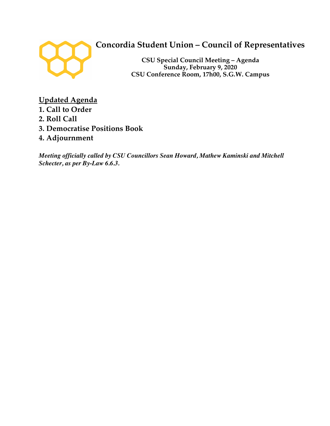

# **Concordia Student Union – Council of Representatives**

**CSU Special Council Meeting – Agenda Sunday, February 9, 2020 CSU Conference Room, 17h00, S.G.W. Campus**

**Updated Agenda 1. Call to Order 2. Roll Call 3. Democratise Positions Book 4. Adjournment**

*Meeting officially called by CSU Councillors Sean Howard, Mathew Kaminski and Mitchell Schecter, as per By-Law 6.6.3.*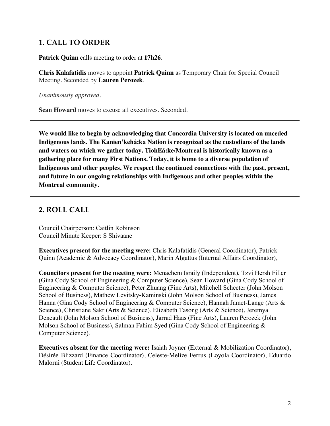### **1. CALL TO ORDER**

**Patrick Quinn** calls meeting to order at **17h26**.

**Chris Kalafatidis** moves to appoint **Patrick Quinn** as Temporary Chair for Special Council Meeting. Seconded by **Lauren Perozek**.

*Unanimously approved.*

**Sean Howard** moves to excuse all executives. Seconded.

**We would like to begin by acknowledging that Concordia University is located on unceded Indigenous lands. The Kanien'kehá:ka Nation is recognized as the custodians of the lands and waters on which we gather today. TiohEá:ke/Montreal is historically known as a gathering place for many First Nations. Today, it is home to a diverse population of Indigenous and other peoples. We respect the continued connections with the past, present, and future in our ongoing relationships with Indigenous and other peoples within the Montreal community.**

## **2. ROLL CALL**

Council Chairperson: Caitlin Robinson Council Minute Keeper: S Shivaane

**Executives present for the meeting were:** Chris Kalafatidis (General Coordinator), Patrick Quinn (Academic & Advocacy Coordinator), Marin Algattus (Internal Affairs Coordinator),

**Councilors present for the meeting were:** Menachem Israily (Independent), Tzvi Hersh Filler (Gina Cody School of Engineering & Computer Science), Sean Howard (Gina Cody School of Engineering & Computer Science), Peter Zhuang (Fine Arts), Mitchell Schecter (John Molson School of Business), Mathew Levitsky-Kaminski (John Molson School of Business), James Hanna (Gina Cody School of Engineering & Computer Science), Hannah Jamet-Lange (Arts & Science), Christiane Sakr (Arts & Science), Elizabeth Tasong (Arts & Science), Jeremya Deneault (John Molson School of Business), Jarrad Haas (Fine Arts), Lauren Perozek (John Molson School of Business), Salman Fahim Syed (Gina Cody School of Engineering & Computer Science).

**Executives absent for the meeting were:** Isaiah Joyner (External & Mobilization Coordinator), Désirée Blizzard (Finance Coordinator), Celeste-Melize Ferrus (Loyola Coordinator), Eduardo Malorni (Student Life Coordinator).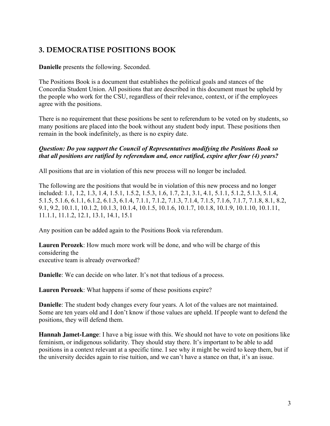# **3. DEMOCRATISE POSITIONS BOOK**

**Danielle** presents the following. Seconded.

The Positions Book is a document that establishes the political goals and stances of the Concordia Student Union. All positions that are described in this document must be upheld by the people who work for the CSU, regardless of their relevance, context, or if the employees agree with the positions.

There is no requirement that these positions be sent to referendum to be voted on by students, so many positions are placed into the book without any student body input. These positions then remain in the book indefinitely, as there is no expiry date.

#### *Question: Do you support the Council of Representatives modifying the Positions Book so that all positions are ratified by referendum and, once ratified, expire after four (4) years?*

All positions that are in violation of this new process will no longer be included.

The following are the positions that would be in violation of this new process and no longer included: 1.1, 1.2, 1.3, 1.4, 1.5.1, 1.5.2, 1.5.3, 1.6, 1.7, 2.1, 3.1, 4.1, 5.1.1, 5.1.2, 5.1.3, 5.1.4, 5.1.5, 5.1.6, 6.1.1, 6.1.2, 6.1.3, 6.1.4, 7.1.1, 7.1.2, 7.1.3, 7.1.4, 7.1.5, 7.1.6, 7.1.7, 7.1.8, 8.1, 8.2, 9.1, 9.2, 10.1.1, 10.1.2, 10.1.3, 10.1.4, 10.1.5, 10.1.6, 10.1.7, 10.1.8, 10.1.9, 10.1.10, 10.1.11, 11.1.1, 11.1.2, 12.1, 13.1, 14.1, 15.1

Any position can be added again to the Positions Book via referendum.

**Lauren Perozek**: How much more work will be done, and who will be charge of this considering the executive team is already overworked?

**Danielle**: We can decide on who later. It's not that tedious of a process.

**Lauren Perozek**: What happens if some of these positions expire?

**Danielle**: The student body changes every four years. A lot of the values are not maintained. Some are ten years old and I don't know if those values are upheld. If people want to defend the positions, they will defend them.

**Hannah Jamet-Lange**: I have a big issue with this. We should not have to vote on positions like feminism, or indigenous solidarity. They should stay there. It's important to be able to add positions in a context relevant at a specific time. I see why it might be weird to keep them, but if the university decides again to rise tuition, and we can't have a stance on that, it's an issue.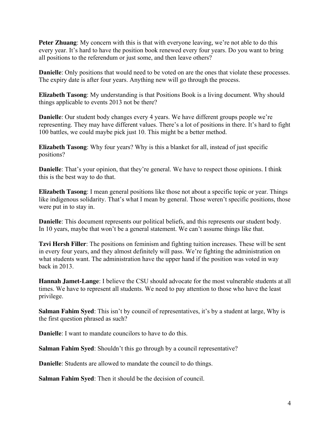**Peter Zhuang:** My concern with this is that with everyone leaving, we're not able to do this every year. It's hard to have the position book renewed every four years. Do you want to bring all positions to the referendum or just some, and then leave others?

**Danielle**: Only positions that would need to be voted on are the ones that violate these processes. The expiry date is after four years. Anything new will go through the process.

**Elizabeth Tasong**: My understanding is that Positions Book is a living document. Why should things applicable to events 2013 not be there?

**Danielle**: Our student body changes every 4 years. We have different groups people we're representing. They may have different values. There's a lot of positions in there. It's hard to fight 100 battles, we could maybe pick just 10. This might be a better method.

**Elizabeth Tasong**: Why four years? Why is this a blanket for all, instead of just specific positions?

**Danielle**: That's your opinion, that they're general. We have to respect those opinions. I think this is the best way to do that.

**Elizabeth Tasong**: I mean general positions like those not about a specific topic or year. Things like indigenous solidarity. That's what I mean by general. Those weren't specific positions, those were put in to stay in.

**Danielle**: This document represents our political beliefs, and this represents our student body. In 10 years, maybe that won't be a general statement. We can't assume things like that.

**Tzvi Hersh Filler**: The positions on feminism and fighting tuition increases. These will be sent in every four years, and they almost definitely will pass. We're fighting the administration on what students want. The administration have the upper hand if the position was voted in way back in 2013.

**Hannah Jamet-Lange**: I believe the CSU should advocate for the most vulnerable students at all times. We have to represent all students. We need to pay attention to those who have the least privilege.

**Salman Fahim Syed**: This isn't by council of representatives, it's by a student at large, Why is the first question phrased as such?

**Danielle**: I want to mandate councilors to have to do this.

**Salman Fahim Syed**: Shouldn't this go through by a council representative?

**Danielle**: Students are allowed to mandate the council to do things.

**Salman Fahim Syed**: Then it should be the decision of council.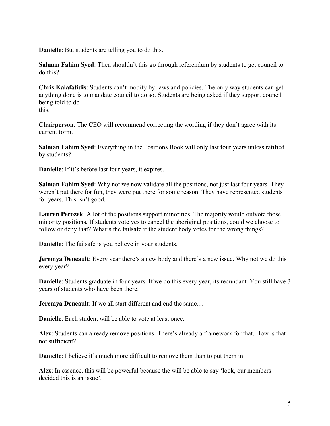**Danielle**: But students are telling you to do this.

**Salman Fahim Syed**: Then shouldn't this go through referendum by students to get council to do this?

**Chris Kalafatidis**: Students can't modify by-laws and policies. The only way students can get anything done is to mandate council to do so. Students are being asked if they support council being told to do this.

**Chairperson**: The CEO will recommend correcting the wording if they don't agree with its current form.

**Salman Fahim Syed**: Everything in the Positions Book will only last four years unless ratified by students?

**Danielle**: If it's before last four years, it expires.

**Salman Fahim Syed**: Why not we now validate all the positions, not just last four years. They weren't put there for fun, they were put there for some reason. They have represented students for years. This isn't good.

**Lauren Perozek**: A lot of the positions support minorities. The majority would outvote those minority positions. If students vote yes to cancel the aboriginal positions, could we choose to follow or deny that? What's the failsafe if the student body votes for the wrong things?

**Danielle**: The failsafe is you believe in your students.

**Jeremya Deneault:** Every year there's a new body and there's a new issue. Why not we do this every year?

**Danielle**: Students graduate in four years. If we do this every year, its redundant. You still have 3 years of students who have been there.

**Jeremya Deneault**: If we all start different and end the same…

**Danielle**: Each student will be able to vote at least once.

**Alex**: Students can already remove positions. There's already a framework for that. How is that not sufficient?

**Danielle**: I believe it's much more difficult to remove them than to put them in.

**Alex**: In essence, this will be powerful because the will be able to say 'look, our members decided this is an issue'.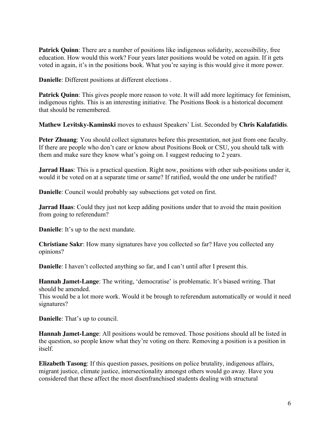**Patrick Quinn**: There are a number of positions like indigenous solidarity, accessibility, free education. How would this work? Four years later positions would be voted on again. If it gets voted in again, it's in the positions book. What you're saying is this would give it more power.

**Danielle**: Different positions at different elections .

**Patrick Quinn**: This gives people more reason to vote. It will add more legitimacy for feminism, indigenous rights. This is an interesting initiative. The Positions Book is a historical document that should be remembered.

**Mathew Levitsky-Kaminski** moves to exhaust Speakers' List. Seconded by **Chris Kalafatidis**.

**Peter Zhuang**: You should collect signatures before this presentation, not just from one faculty. If there are people who don't care or know about Positions Book or CSU, you should talk with them and make sure they know what's going on. I suggest reducing to 2 years.

**Jarrad Haas**: This is a practical question. Right now, positions with other sub-positions under it, would it be voted on at a separate time or same? If ratified, would the one under be ratified?

**Danielle**: Council would probably say subsections get voted on first.

**Jarrad Haas:** Could they just not keep adding positions under that to avoid the main position from going to referendum?

**Danielle**: It's up to the next mandate.

**Christiane Sakr**: How many signatures have you collected so far? Have you collected any opinions?

**Danielle**: I haven't collected anything so far, and I can't until after I present this.

**Hannah Jamet-Lange**: The writing, 'democratise' is problematic. It's biased writing. That should be amended.

This would be a lot more work. Would it be brough to referendum automatically or would it need signatures?

**Danielle**: That's up to council.

**Hannah Jamet-Lange**: All positions would be removed. Those positions should all be listed in the question, so people know what they're voting on there. Removing a position is a position in itself.

**Elizabeth Tasong**: If this question passes, positions on police brutality, indigenous affairs, migrant justice, climate justice, intersectionality amongst others would go away. Have you considered that these affect the most disenfranchised students dealing with structural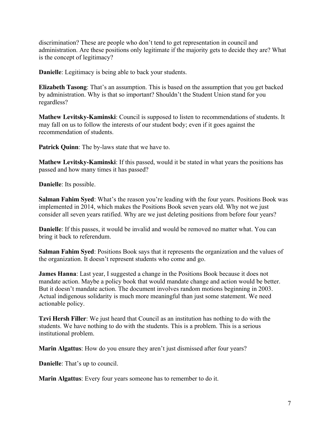discrimination? These are people who don't tend to get representation in council and administration. Are these positions only legitimate if the majority gets to decide they are? What is the concept of legitimacy?

**Danielle**: Legitimacy is being able to back your students.

**Elizabeth Tasong**: That's an assumption. This is based on the assumption that you get backed by administration. Why is that so important? Shouldn't the Student Union stand for you regardless?

**Mathew Levitsky-Kaminski**: Council is supposed to listen to recommendations of students. It may fall on us to follow the interests of our student body; even if it goes against the recommendation of students.

**Patrick Quinn**: The by-laws state that we have to.

**Mathew Levitsky-Kaminski**: If this passed, would it be stated in what years the positions has passed and how many times it has passed?

**Danielle**: Its possible.

**Salman Fahim Syed:** What's the reason you're leading with the four years. Positions Book was implemented in 2014, which makes the Positions Book seven years old. Why not we just consider all seven years ratified. Why are we just deleting positions from before four years?

**Danielle**: If this passes, it would be invalid and would be removed no matter what. You can bring it back to referendum.

**Salman Fahim Syed**: Positions Book says that it represents the organization and the values of the organization. It doesn't represent students who come and go.

**James Hanna**: Last year, I suggested a change in the Positions Book because it does not mandate action. Maybe a policy book that would mandate change and action would be better. But it doesn't mandate action. The document involves random motions beginning in 2003. Actual indigenous solidarity is much more meaningful than just some statement. We need actionable policy.

**Tzvi Hersh Filler**: We just heard that Council as an institution has nothing to do with the students. We have nothing to do with the students. This is a problem. This is a serious institutional problem.

**Marin Algattus**: How do you ensure they aren't just dismissed after four years?

**Danielle**: That's up to council.

**Marin Algattus**: Every four years someone has to remember to do it.